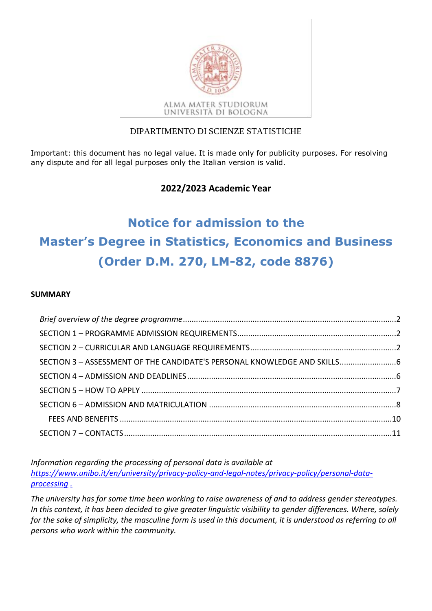

### DIPARTIMENTO DI SCIENZE STATISTICHE

Important: this document has no legal value. It is made only for publicity purposes. For resolving any dispute and for all legal purposes only the Italian version is valid.

### **2022/2023 Academic Year**

# **Notice for admission to the Master's Degree in Statistics, Economics and Business (Order D.M. 270, LM-82, code 8876)**

#### **SUMMARY**

| SECTION 3 - ASSESSMENT OF THE CANDIDATE'S PERSONAL KNOWLEDGE AND SKILLS |  |
|-------------------------------------------------------------------------|--|
|                                                                         |  |
|                                                                         |  |
|                                                                         |  |
|                                                                         |  |
|                                                                         |  |

*Information regarding the processing of personal data is available at [https://www.unibo.it/en/university/privacy-policy-and-legal-notes/privacy-policy/personal-data](https://www.unibo.it/en/university/privacy-policy-and-legal-notes/privacy-policy/personal-data-processing)[processing](https://www.unibo.it/en/university/privacy-policy-and-legal-notes/privacy-policy/personal-data-processing) [.](http://www.unibo.it/PrivacyBandiCds)*

*The university has for some time been working to raise awareness of and to address gender stereotypes. In this context, it has been decided to give greater linguistic visibility to gender differences. Where, solely for the sake of simplicity, the masculine form is used in this document, it is understood as referring to all persons who work within the community.*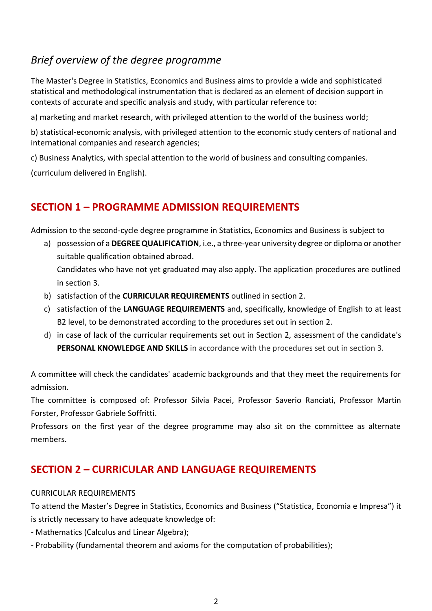# <span id="page-1-0"></span>*Brief overview of the degree programme*

The Master's Degree in Statistics, Economics and Business aims to provide a wide and sophisticated statistical and methodological instrumentation that is declared as an element of decision support in contexts of accurate and specific analysis and study, with particular reference to:

a) marketing and market research, with privileged attention to the world of the business world;

b) statistical-economic analysis, with privileged attention to the economic study centers of national and international companies and research agencies;

c) Business Analytics, with special attention to the world of business and consulting companies.

<span id="page-1-1"></span>(curriculum delivered in English).

## **SECTION 1 – PROGRAMME ADMISSION REQUIREMENTS**

Admission to the second-cycle degree programme in Statistics, Economics and Business is subject to

- a) possession of a **DEGREE QUALIFICATION**, i.e., a three-year university degree or diploma or another suitable qualification obtained abroad. Candidates who have not yet graduated may also apply. The application procedures are outlined in section 3.
- b) satisfaction of the **CURRICULAR REQUIREMENTS** outlined in section 2.
- c) satisfaction of the **LANGUAGE REQUIREMENTS** and, specifically, knowledge of English to at least B2 level, to be demonstrated according to the procedures set out in section 2.
- d) in case of lack of the curricular requirements set out in Section 2, assessment of the candidate's **PERSONAL KNOWLEDGE AND SKILLS** in accordance with the procedures set out in section 3.

A committee will check the candidates' academic backgrounds and that they meet the requirements for admission.

The committee is composed of: Professor Silvia Pacei, Professor Saverio Ranciati, Professor Martin Forster, Professor Gabriele Soffritti.

Professors on the first year of the degree programme may also sit on the committee as alternate members.

### <span id="page-1-2"></span>**SECTION 2 – CURRICULAR AND LANGUAGE REQUIREMENTS**

#### CURRICULAR REQUIREMENTS

To attend the Master's Degree in Statistics, Economics and Business ("Statistica, Economia e Impresa") it is strictly necessary to have adequate knowledge of:

- Mathematics (Calculus and Linear Algebra);

- Probability (fundamental theorem and axioms for the computation of probabilities);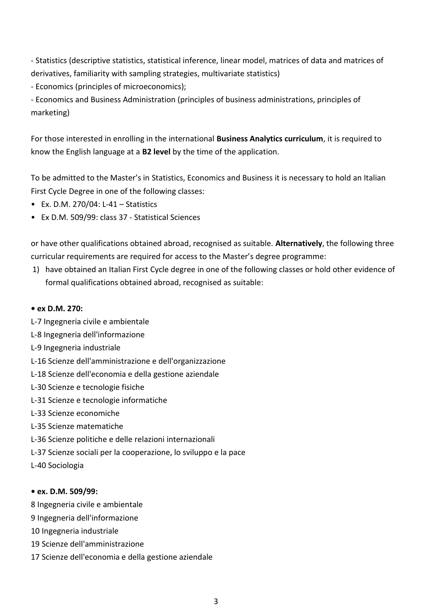- Statistics (descriptive statistics, statistical inference, linear model, matrices of data and matrices of derivatives, familiarity with sampling strategies, multivariate statistics)

- Economics (principles of microeconomics);

- Economics and Business Administration (principles of business administrations, principles of marketing)

For those interested in enrolling in the international **Business Analytics curriculum**, it is required to know the English language at a **B2 level** by the time of the application.

To be admitted to the Master's in Statistics, Economics and Business it is necessary to hold an Italian First Cycle Degree in one of the following classes:

- Ex. D.M. 270/04: L-41 Statistics
- Ex D.M. 509/99: class 37 Statistical Sciences

or have other qualifications obtained abroad, recognised as suitable. **Alternatively**, the following three curricular requirements are required for access to the Master's degree programme:

1) have obtained an Italian First Cycle degree in one of the following classes or hold other evidence of formal qualifications obtained abroad, recognised as suitable:

### **• ex D.M. 270:**

- L-7 Ingegneria civile e ambientale
- L-8 Ingegneria dell'informazione
- L-9 Ingegneria industriale
- L-16 Scienze dell'amministrazione e dell'organizzazione
- L-18 Scienze dell'economia e della gestione aziendale
- L-30 Scienze e tecnologie fisiche
- L-31 Scienze e tecnologie informatiche
- L-33 Scienze economiche
- L-35 Scienze matematiche
- L-36 Scienze politiche e delle relazioni internazionali
- L-37 Scienze sociali per la cooperazione, lo sviluppo e la pace
- L-40 Sociologia

### **• ex. D.M. 509/99:**

- 8 Ingegneria civile e ambientale
- 9 Ingegneria dell'informazione
- 10 Ingegneria industriale
- 19 Scienze dell'amministrazione
- 17 Scienze dell'economia e della gestione aziendale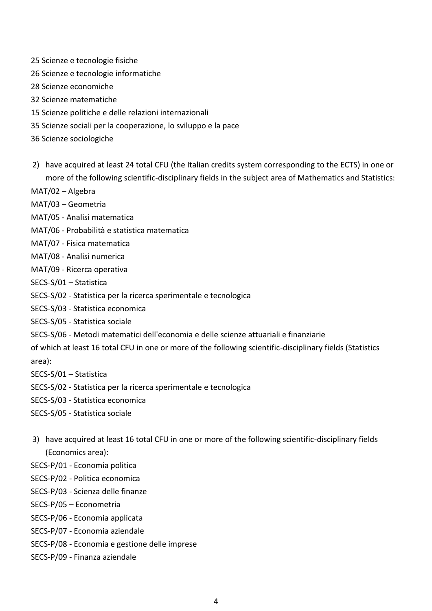- 25 Scienze e tecnologie fisiche
- 26 Scienze e tecnologie informatiche
- 28 Scienze economiche
- 32 Scienze matematiche
- 15 Scienze politiche e delle relazioni internazionali
- 35 Scienze sociali per la cooperazione, lo sviluppo e la pace
- 36 Scienze sociologiche
- 2) have acquired at least 24 total CFU (the Italian credits system corresponding to the ECTS) in one or more of the following scientific-disciplinary fields in the subject area of Mathematics and Statistics:
- MAT/02 Algebra
- MAT/03 Geometria
- MAT/05 Analisi matematica
- MAT/06 Probabilità e statistica matematica
- MAT/07 Fisica matematica
- MAT/08 Analisi numerica
- MAT/09 Ricerca operativa
- SECS-S/01 Statistica
- SECS-S/02 Statistica per la ricerca sperimentale e tecnologica
- SECS-S/03 Statistica economica
- SECS-S/05 Statistica sociale
- SECS-S/06 Metodi matematici dell'economia e delle scienze attuariali e finanziarie
- of which at least 16 total CFU in one or more of the following scientific-disciplinary fields (Statistics area):
- SECS-S/01 Statistica
- SECS-S/02 Statistica per la ricerca sperimentale e tecnologica
- SECS-S/03 Statistica economica
- SECS-S/05 Statistica sociale
- 3) have acquired at least 16 total CFU in one or more of the following scientific-disciplinary fields (Economics area):
- SECS-P/01 Economia politica
- SECS-P/02 Politica economica
- SECS-P/03 Scienza delle finanze
- SECS-P/05 Econometria
- SECS-P/06 Economia applicata
- SECS-P/07 Economia aziendale
- SECS-P/08 Economia e gestione delle imprese
- SECS-P/09 Finanza aziendale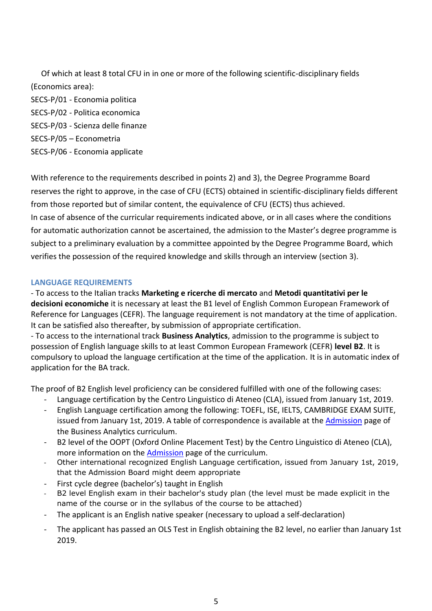Of which at least 8 total CFU in in one or more of the following scientific-disciplinary fields (Economics area):

SECS-P/01 - Economia politica SECS-P/02 - Politica economica SECS-P/03 - Scienza delle finanze SECS-P/05 – Econometria SECS-P/06 - Economia applicate

With reference to the requirements described in points 2) and 3), the Degree Programme Board reserves the right to approve, in the case of CFU (ECTS) obtained in scientific-disciplinary fields different from those reported but of similar content, the equivalence of CFU (ECTS) thus achieved. In case of absence of the curricular requirements indicated above, or in all cases where the conditions for automatic authorization cannot be ascertained, the admission to the Master's degree programme is subject to a preliminary evaluation by a committee appointed by the Degree Programme Board, which verifies the possession of the required knowledge and skills through an interview (section 3).

#### **LANGUAGE REQUIREMENTS**

- To access to the Italian tracks **Marketing e ricerche di mercato** and **Metodi quantitativi per le decisioni economiche** it is necessary at least the B1 level of English Common European Framework of Reference for Languages (CEFR). The language requirement is not mandatory at the time of application. It can be satisfied also thereafter, by submission of appropriate certification.

- To access to the international track **Business Analytics**, admission to the programme is subject to possession of English language skills to at least Common European Framework (CEFR) **level B2**. It is compulsory to upload the language certification at the time of the application. It is in automatic index of application for the BA track.

The proof of B2 English level proficiency can be considered fulfilled with one of the following cases:

- Language certification by the Centro Linguistico di Ateneo (CLA), issued from January 1st, 2019.
- English Language certification among the following: TOEFL, ISE, IELTS, CAMBRIDGE EXAM SUITE, issued from January 1st, 2019. A table of correspondence is available at the [Admission](https://corsi.unibo.it/2cycle/BusinessAnalytics/how-to-enrol) page of the Business Analytics curriculum.
- B2 level of the OOPT (Oxford Online Placement Test) by the Centro Linguistico di Ateneo (CLA), more information on the [Admission](https://corsi.unibo.it/2cycle/BusinessAnalytics/how-to-enrol) page of the curriculum.
- Other international recognized English Language certification, issued from January 1st, 2019, that the Admission Board might deem appropriate
- First cycle degree (bachelor's) taught in English
- B2 level English exam in their bachelor's study plan (the level must be made explicit in the name of the course or in the syllabus of the course to be attached)
- The applicant is an English native speaker (necessary to upload a self-declaration)
- The applicant has passed an OLS Test in English obtaining the B2 level, no earlier than January 1st 2019.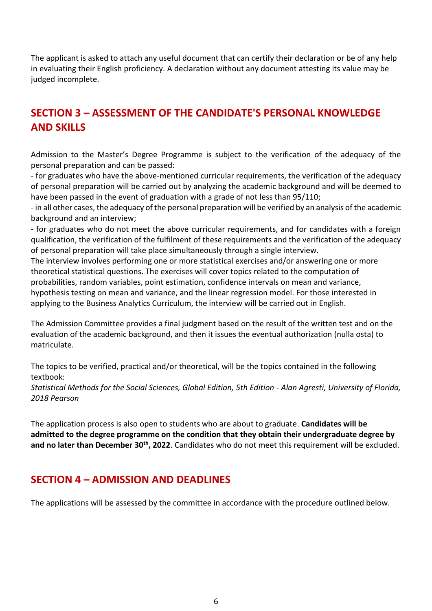The applicant is asked to attach any useful document that can certify their declaration or be of any help in evaluating their English proficiency. A declaration without any document attesting its value may be judged incomplete.

# <span id="page-5-0"></span>**SECTION 3 – ASSESSMENT OF THE CANDIDATE'S PERSONAL KNOWLEDGE AND SKILLS**

Admission to the Master's Degree Programme is subject to the verification of the adequacy of the personal preparation and can be passed:

- for graduates who have the above-mentioned curricular requirements, the verification of the adequacy of personal preparation will be carried out by analyzing the academic background and will be deemed to have been passed in the event of graduation with a grade of not less than 95/110;

- in all other cases, the adequacy of the personal preparation will be verified by an analysis of the academic background and an interview;

- for graduates who do not meet the above curricular requirements, and for candidates with a foreign qualification, the verification of the fulfilment of these requirements and the verification of the adequacy of personal preparation will take place simultaneously through a single interview.

The interview involves performing one or more statistical exercises and/or answering one or more theoretical statistical questions. The exercises will cover topics related to the computation of probabilities, random variables, point estimation, confidence intervals on mean and variance, hypothesis testing on mean and variance, and the linear regression model. For those interested in applying to the Business Analytics Curriculum, the interview will be carried out in English.

The Admission Committee provides a final judgment based on the result of the written test and on the evaluation of the academic background, and then it issues the eventual authorization (nulla osta) to matriculate.

The topics to be verified, practical and/or theoretical, will be the topics contained in the following textbook:

*Statistical Methods for the Social Sciences, Global Edition, 5th Edition - Alan Agresti, University of Florida, 2018 Pearson*

The application process is also open to students who are about to graduate. **Candidates will be admitted to the degree programme on the condition that they obtain their undergraduate degree by and no later than December 30th, 2022**. Candidates who do not meet this requirement will be excluded.

### <span id="page-5-1"></span>**SECTION 4 – ADMISSION AND DEADLINES**

The applications will be assessed by the committee in accordance with the procedure outlined below.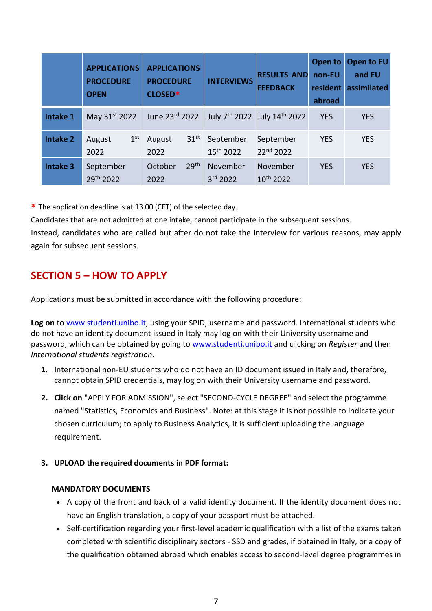|                 | <b>APPLICATIONS</b><br><b>PROCEDURE</b><br><b>OPEN</b> | <b>APPLICATIONS</b><br><b>PROCEDURE</b><br>CLOSED* | <b>INTERVIEWS</b>                  | <b>RESULTS AND</b><br><b>FEEDBACK</b>                | Open to<br>non-EU<br>resident<br>abroad | Open to EU<br>and EU<br>assimilated |
|-----------------|--------------------------------------------------------|----------------------------------------------------|------------------------------------|------------------------------------------------------|-----------------------------------------|-------------------------------------|
| Intake 1        | May 31st 2022                                          | June 23rd 2022                                     |                                    | July 7 <sup>th</sup> 2022 July 14 <sup>th</sup> 2022 | <b>YES</b>                              | <b>YES</b>                          |
| <b>Intake 2</b> | 1 <sup>st</sup><br>August<br>2022                      | 31 <sup>st</sup><br>August<br>2022                 | September<br>15 <sup>th</sup> 2022 | September<br>22nd 2022                               | <b>YES</b>                              | <b>YES</b>                          |
| <b>Intake 3</b> | September<br>29th 2022                                 | 29 <sup>th</sup><br>October<br>2022                | November<br>3rd 2022               | November<br>10th 2022                                | <b>YES</b>                              | <b>YES</b>                          |

**\*** The application deadline is at 13.00 (CET) of the selected day.

Candidates that are not admitted at one intake, cannot participate in the subsequent sessions.

Instead, candidates who are called but after do not take the interview for various reasons, may apply again for subsequent sessions.

# <span id="page-6-0"></span>**SECTION 5 – HOW TO APPLY**

Applications must be submitted in accordance with the following procedure:

Log on to [www.studenti.unibo.it,](http://www.studenti.unibo.it/) using your SPID, username and password. International students who do not have an identity document issued in Italy may log on with their University username and password, which can be obtained by going to www.studenti.unibo.it and clicking on *Register* and then *International students registration*.

- **1.** International non-EU students who do not have an ID document issued in Italy and, therefore, cannot obtain SPID credentials, may log on with their University username and password.
- **2. Click on** "APPLY FOR ADMISSION", select "SECOND-CYCLE DEGREE" and select the programme named "Statistics, Economics and Business". Note: at this stage it is not possible to indicate your chosen curriculum; to apply to Business Analytics, it is sufficient uploading the language requirement.
- **3. UPLOAD the required documents in PDF format:**

### **MANDATORY DOCUMENTS**

- A copy of the front and back of a valid identity document. If the identity document does not have an English translation, a copy of your passport must be attached.
- Self-certification regarding your first-level academic qualification with a list of the exams taken completed with scientific disciplinary sectors - SSD and grades, if obtained in Italy, or a copy of the qualification obtained abroad which enables access to second-level degree programmes in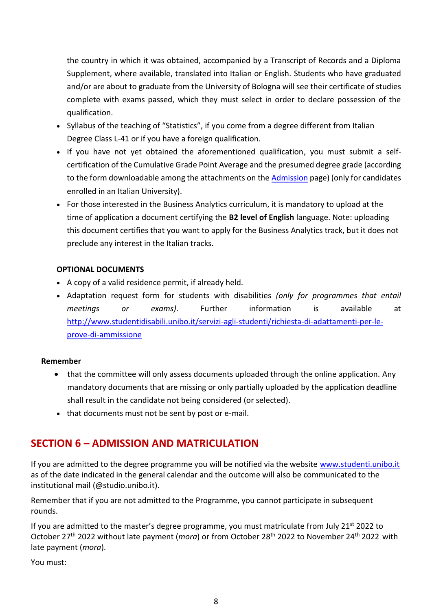the country in which it was obtained, accompanied by a Transcript of Records and a Diploma Supplement, where available, translated into Italian or English. Students who have graduated and/or are about to graduate from the University of Bologna will see their certificate of studies complete with exams passed, which they must select in order to declare possession of the qualification.

- Syllabus of the teaching of "Statistics", if you come from a degree different from Italian Degree Class L-41 or if you have a foreign qualification.
- If you have not yet obtained the aforementioned qualification, you must submit a selfcertification of the Cumulative Grade Point Average and the presumed degree grade (according to the form downloadable among the attachments on the [Admission](https://corsi.unibo.it/2cycle/BusinessAnalytics/how-to-enrol) page) (only for candidates enrolled in an Italian University).
- For those interested in the Business Analytics curriculum, it is mandatory to upload at the time of application a document certifying the **B2 level of English** language. Note: uploading this document certifies that you want to apply for the Business Analytics track, but it does not preclude any interest in the Italian tracks.

### **OPTIONAL DOCUMENTS**

- A copy of a valid residence permit, if already held.
- Adaptation request form for students with disabilities *(only for programmes that entail meetings or exams)*. Further information is available at [http://www.studentidisabili.unibo.it/servizi-agli-studenti/richiesta-di-adattamenti-per-le](http://www.studentidisabili.unibo.it/servizi-agli-studenti/richiesta-di-adattamenti-per-le-prove-di-ammissione)[prove-di-ammissione](http://www.studentidisabili.unibo.it/servizi-agli-studenti/richiesta-di-adattamenti-per-le-prove-di-ammissione)

### **Remember**

- that the committee will only assess documents uploaded through the online application. Any mandatory documents that are missing or only partially uploaded by the application deadline shall result in the candidate not being considered (or selected).
- that documents must not be sent by post or e-mail.

## <span id="page-7-0"></span>**SECTION 6 – ADMISSION AND MATRICULATION**

If you are admitted to the degree programme you will be notified via the website [www.studenti.unibo.it](http://www.studenti.unibo.it/) as of the date indicated in the general calendar and the outcome will also be communicated to the institutional mail (@studio.unibo.it).

Remember that if you are not admitted to the Programme, you cannot participate in subsequent rounds.

If you are admitted to the master's degree programme, you must matriculate from July 21<sup>st</sup> 2022 to October 27th 2022 without late payment (*mora*) or from October 28th 2022 to November 24th 2022 with late payment (*mora*).

You must: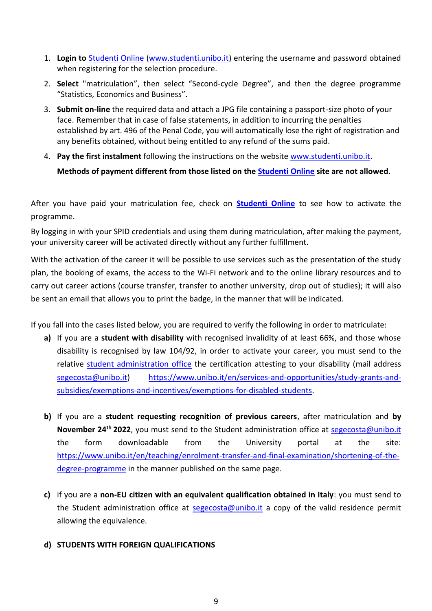- 1. **Login to** [Studenti Online](https://studenti.unibo.it/sol/welcome.htm) [\(www.studenti.unibo.it\)](https://studenti.unibo.it/sol/welcome.htm) entering the username and password obtained when registering for the selection procedure.
- 2. **Select** "matriculation", then select "Second-cycle Degree", and then the degree programme "Statistics, Economics and Business".
- 3. **Submit on-line** the required data and attach a JPG file containing a passport-size photo of your face. Remember that in case of false statements, in addition to incurring the penalties established by art. 496 of the Penal Code, you will automatically lose the right of registration and any benefits obtained, without being entitled to any refund of the sums paid.
- 4. **Pay the first instalment** following the instructions on the website [www.studenti.unibo.it.](https://studenti.unibo.it/sol/welcome.htm)

**Methods of payment different from those listed on the [Studenti Online](https://studenti.unibo.it/sol/welcome.htm) site are not allowed.**

After you have paid your matriculation fee, check on **[Studenti Online](https://studenti.unibo.it/sol/welcome.htm)** to see how to activate the programme.

By logging in with your SPID credentials and using them during matriculation, after making the payment, your university career will be activated directly without any further fulfillment.

With the activation of the career it will be possible to use services such as the presentation of the study plan, the booking of exams, the access to the Wi-Fi network and to the online library resources and to carry out career actions (course transfer, transfer to another university, drop out of studies); it will also be sent an email that allows you to print the badge, in the manner that will be indicated.

If you fall into the cases listed below, you are required to verify the following in order to matriculate:

- **a)** If you are a **student with disability** with recognised invalidity of at least 66%, and those whose disability is recognised by law 104/92, in order to activate your career, you must send to the relative [student administration office](https://www.unibo.it/en/teaching/enrolment-transfer-and-final-examination/student-administration-office) the certification attesting to your disability (mail address [segecosta@unibo.it\)](mailto:segecosta@unibo.it) [https://www.unibo.it/en/services-and-opportunities/study-grants-and](https://www.unibo.it/en/services-and-opportunities/study-grants-and-subsidies/exemptions-and-incentives/exemptions-for-disabled-students)[subsidies/exemptions-and-incentives/exemptions-for-disabled-students.](https://www.unibo.it/en/services-and-opportunities/study-grants-and-subsidies/exemptions-and-incentives/exemptions-for-disabled-students)
- **b)** If you are a **student requesting recognition of previous careers**, after matriculation and **by November 24th 2022**, you must send to the Student administration office at [segecosta@unibo.it](mailto:segecosta@unibo.it) the form downloadable from the University portal at the site: [https://www.unibo.it/en/teaching/enrolment-transfer-and-final-examination/shortening-of-the](https://www.unibo.it/en/teaching/enrolment-transfer-and-final-examination/shortening-of-the-degree-programme)[degree-programme](https://www.unibo.it/en/teaching/enrolment-transfer-and-final-examination/shortening-of-the-degree-programme) in the manner published on the same page.
- **c)** if you are a **non-EU citizen with an equivalent qualification obtained in Italy**: you must send to the Student administration office at **segecosta@unibo.it** a copy of the valid residence permit allowing the equivalence.
- **d) STUDENTS WITH FOREIGN QUALIFICATIONS**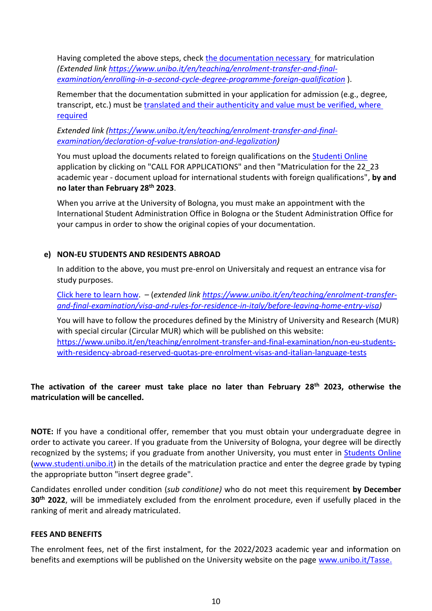Having completed the above steps, check [the documentation necessary](https://www.unibo.it/en/teaching/enrolment-transfer-and-final-examination/enrolling-in-a-second-cycle-degree-programme-foreign-qualification) for matriculation *(Extended link [https://www.unibo.it/en/teaching/enrolment-transfer-and-final](https://www.unibo.it/en/teaching/enrolment-transfer-and-final-examination/enrolling-in-a-second-cycle-degree-programme-foreign-qualification)[examination/enrolling-in-a-second-cycle-degree-programme-foreign-qualification](https://www.unibo.it/en/teaching/enrolment-transfer-and-final-examination/enrolling-in-a-second-cycle-degree-programme-foreign-qualification)* ).

Remember that the documentation submitted in your application for admission (e.g., degree, transcript, etc.) must be [translated and their authenticity and value must be verified, where](https://www.unibo.it/en/teaching/enrolment-transfer-and-final-examination/declaration-of-value-translation-and-legalization)  [required](https://www.unibo.it/en/teaching/enrolment-transfer-and-final-examination/declaration-of-value-translation-and-legalization)

*Extended link [\(https://www.unibo.it/en/teaching/enrolment-transfer-and-final](https://www.unibo.it/en/teaching/enrolment-transfer-and-final-examination/declaration-of-value-translation-and-legalization)[examination/declaration-of-value-translation-and-legalization\)](https://www.unibo.it/en/teaching/enrolment-transfer-and-final-examination/declaration-of-value-translation-and-legalization)*

You must upload the documents related to foreign qualifications on the [Studenti Online](https://studenti.unibo.it/sol/welcome.htm?siteLanguage=en) application by clicking on "CALL FOR APPLICATIONS" and then "Matriculation for the 22\_23 academic year - document upload for international students with foreign qualifications", **by and no later than February 28th 2023**.

When you arrive at the University of Bologna, you must make an appointment with the International Student Administration Office in Bologna or the Student Administration Office for your campus in order to show the original copies of your documentation.

### **e) NON-EU STUDENTS AND RESIDENTS ABROAD**

In addition to the above, you must pre-enrol on Universitaly and request an entrance visa for study purposes.

[Click here to learn](file:///C:/Users/silvia.pacei/AppData/Local/Microsoft/Windows/INetCache/Content.Outlook/DOQBJZAH/Click%20here%20to%20learn) how. – (*extended link [https://www.unibo.it/en/teaching/enrolment-transfer](https://www.unibo.it/en/teaching/enrolment-transfer-and-final-examination/visa-and-rules-for-residence-in-italy/before-leaving-home-entry-visa)[and-final-examination/visa-and-rules-for-residence-in-italy/before-leaving-home-entry-visa\)](https://www.unibo.it/en/teaching/enrolment-transfer-and-final-examination/visa-and-rules-for-residence-in-italy/before-leaving-home-entry-visa)* 

You will have to follow the procedures defined by the Ministry of University and Research (MUR) with special circular (Circular MUR) which will be published on this website: [https://www.unibo.it/en/teaching/enrolment-transfer-and-final-examination/non-eu-students](https://www.unibo.it/en/teaching/enrolment-transfer-and-final-examination/non-eu-students-with-residency-abroad-reserved-quotas-pre-enrolment-visas-and-italian-language-tests)[with-residency-abroad-reserved-quotas-pre-enrolment-visas-and-italian-language-tests](https://www.unibo.it/en/teaching/enrolment-transfer-and-final-examination/non-eu-students-with-residency-abroad-reserved-quotas-pre-enrolment-visas-and-italian-language-tests)

### **The activation of the career must take place no later than February 28 th 2023, otherwise the matriculation will be cancelled.**

**NOTE:** If you have a conditional offer, remember that you must obtain your undergraduate degree in order to activate you career. If you graduate from the University of Bologna, your degree will be directly recognized by the systems; if you graduate from another University, you must enter in **Students Online** [\(www.studenti.unibo.it\)](https://studenti.unibo.it/sol/welcome.htm) in the details of the matriculation practice and enter the degree grade by typing the appropriate button "insert degree grade".

Candidates enrolled under condition (*sub conditione)* who do not meet this requirement **by December 30th 2022**, will be immediately excluded from the enrolment procedure, even if usefully placed in the ranking of merit and already matriculated.

#### <span id="page-9-0"></span>**FEES AND BENEFITS**

The enrolment fees, net of the first instalment, for the 2022/2023 academic year and information on benefits and exemptions will be published on the University website on the page [www.unibo.it/Tasse.](http://www.unibo.it/Tasse)